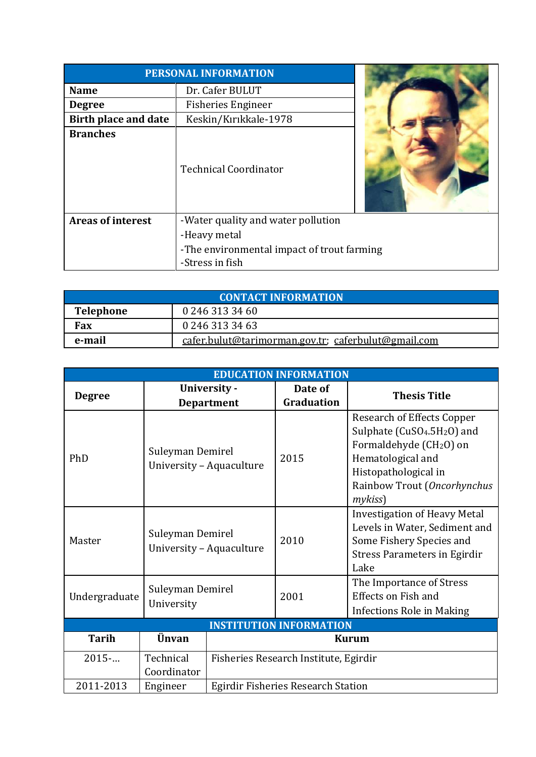| <b>PERSONAL INFORMATION</b> |                                            |  |  |
|-----------------------------|--------------------------------------------|--|--|
| <b>Name</b>                 | Dr. Cafer BULUT                            |  |  |
| <b>Degree</b>               | <b>Fisheries Engineer</b>                  |  |  |
| <b>Birth place and date</b> | Keskin/Kırıkkale-1978                      |  |  |
| <b>Branches</b>             | <b>Technical Coordinator</b>               |  |  |
| <b>Areas of interest</b>    | -Water quality and water pollution         |  |  |
|                             | -Heavy metal                               |  |  |
|                             | -The environmental impact of trout farming |  |  |
|                             | -Stress in fish                            |  |  |

| <b>CONTACT INFORMATION</b>          |                                                     |  |  |
|-------------------------------------|-----------------------------------------------------|--|--|
| 0 246 313 34 60<br><b>Telephone</b> |                                                     |  |  |
| Fax                                 | 0 246 313 34 63                                     |  |  |
| e-mail                              | cafer.bulut@tarimorman.gov.tr; caferbulut@gmail.com |  |  |

| <b>EDUCATION INFORMATION</b>   |                                              |                                           |                       |                                                                                                                                                                                                                        |
|--------------------------------|----------------------------------------------|-------------------------------------------|-----------------------|------------------------------------------------------------------------------------------------------------------------------------------------------------------------------------------------------------------------|
| <b>Degree</b>                  | University -<br><b>Department</b>            |                                           | Date of<br>Graduation | <b>Thesis Title</b>                                                                                                                                                                                                    |
| PhD                            | Suleyman Demirel<br>University - Aquaculture |                                           | 2015                  | <b>Research of Effects Copper</b><br>Sulphate (CuSO <sub>4</sub> .5H <sub>2</sub> O) and<br>Formaldehyde (CH <sub>2</sub> O) on<br>Hematological and<br>Histopathological in<br>Rainbow Trout (Oncorhynchus<br>mykiss) |
| Master                         | Suleyman Demirel<br>University - Aquaculture |                                           | 2010                  | <b>Investigation of Heavy Metal</b><br>Levels in Water, Sediment and<br>Some Fishery Species and<br><b>Stress Parameters in Egirdir</b><br>Lake                                                                        |
| Undergraduate                  | Suleyman Demirel<br>University               |                                           | 2001                  | The Importance of Stress<br><b>Effects on Fish and</b><br><b>Infections Role in Making</b>                                                                                                                             |
| <b>INSTITUTION INFORMATION</b> |                                              |                                           |                       |                                                                                                                                                                                                                        |
| <b>Tarih</b>                   | Ünvan                                        | <b>Kurum</b>                              |                       |                                                                                                                                                                                                                        |
| 2015                           | Technical<br>Coordinator                     | Fisheries Research Institute, Egirdir     |                       |                                                                                                                                                                                                                        |
| 2011-2013                      | Engineer                                     | <b>Egirdir Fisheries Research Station</b> |                       |                                                                                                                                                                                                                        |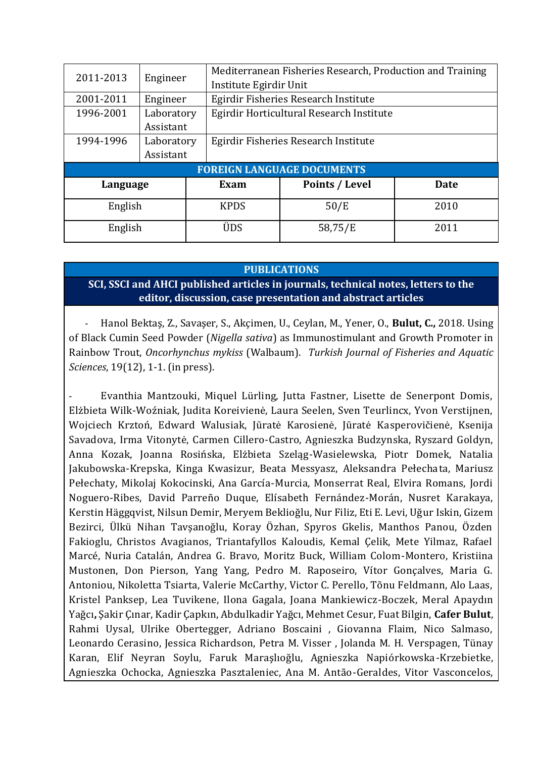| 2011-2013<br>Engineer |                                   |             | Mediterranean Fisheries Research, Production and Training |             |  |  |
|-----------------------|-----------------------------------|-------------|-----------------------------------------------------------|-------------|--|--|
|                       |                                   |             | Institute Egirdir Unit                                    |             |  |  |
| 2001-2011             | Engineer                          |             | Egirdir Fisheries Research Institute                      |             |  |  |
| 1996-2001             | Laboratory                        |             | Egirdir Horticultural Research Institute                  |             |  |  |
|                       | Assistant                         |             |                                                           |             |  |  |
| 1994-1996             | Laboratory                        |             | Egirdir Fisheries Research Institute                      |             |  |  |
|                       | Assistant                         |             |                                                           |             |  |  |
|                       | <b>FOREIGN LANGUAGE DOCUMENTS</b> |             |                                                           |             |  |  |
| Language              |                                   | Exam        | Points / Level                                            | <b>Date</b> |  |  |
| English               |                                   | <b>KPDS</b> | 50/E                                                      | 2010        |  |  |
| English               |                                   | ÜDS         | 58,75/E                                                   | 2011        |  |  |

#### **PUBLICATIONS**

# **SCI, SSCI and AHCI published articles in journals, technical notes, letters to the editor, discussion, case presentation and abstract articles**

- Hanol Bektaş, Z., Savaşer, S., Akçimen, U., Ceylan, M., Yener, O., **Bulut, C.,** 2018. Using of Black Cumin Seed Powder (*Nigella sativa*) as Immunostimulant and Growth Promoter in Rainbow Trout, *Oncorhynchus mykiss* (Walbaum). *Turkish Journal of Fisheries and Aquatic Sciences*, 19(12), 1-1. (in press).

Evanthia Mantzouki, Miquel Lürling, Jutta Fastner, Lisette de Senerpont Domis, Elżbieta Wilk-Woźniak, Judita Koreivienė, Laura Seelen, Sven Teurlincx, Yvon Verstijnen, Wojciech Krztoń, Edward Walusiak, Jūratė Karosienė, Jūratė Kasperovičienė, Ksenija Savadova, Irma Vitonytė, Carmen Cillero-Castro, Agnieszka Budzynska, Ryszard Goldyn, Anna Kozak, Joanna Rosińska, Elżbieta Szeląg-Wasielewska, Piotr Domek, Natalia Jakubowska-Krepska, Kinga Kwasizur, Beata Messyasz, Aleksandra Pełechata, Mariusz Pełechaty, Mikolaj Kokocinski, Ana García-Murcia, Monserrat Real, Elvira Romans, Jordi Noguero-Ribes, David Parreño Duque, Elísabeth Fernández-Morán, Nusret Karakaya, Kerstin Häggqvist, Nilsun Demir, Meryem Beklioğlu, Nur Filiz, Eti E. Levi, Uğur Iskin, Gizem Bezirci, Ülkü Nihan Tavşanoğlu, Koray Özhan, Spyros Gkelis, Manthos Panou, Özden Fakioglu, Christos Avagianos, Triantafyllos Kaloudis, Kemal Çelik, Mete Yilmaz, Rafael Marcé, Nuria Catalán, Andrea G. Bravo, Moritz Buck, William Colom-Montero, Kristiina Mustonen, Don Pierson, Yang Yang, Pedro M. Raposeiro, Vítor Gonçalves, Maria G. Antoniou, Nikoletta Tsiarta, Valerie McCarthy, Victor C. Perello, Tõnu Feldmann, Alo Laas, Kristel Panksep, Lea Tuvikene, Ilona Gagala, Joana Mankiewicz-Boczek, Meral Apaydın Yağcı**,** Şakir Çınar, Kadir Çapkın, Abdulkadir Yağcı, Mehmet Cesur, Fuat Bilgin, **Cafer Bulut**, Rahmi Uysal, Ulrike Obertegger, Adriano Boscaini , Giovanna Flaim, Nico Salmaso, Leonardo Cerasino, Jessica Richardson, Petra M. Visser , Jolanda M. H. Verspagen, Tünay Karan, Elif Neyran Soylu, Faruk Maraşlıoğlu, Agnieszka Napiórkowska-Krzebietke, Agnieszka Ochocka, Agnieszka Pasztaleniec, Ana M. Antão-Geraldes, Vitor Vasconcelos,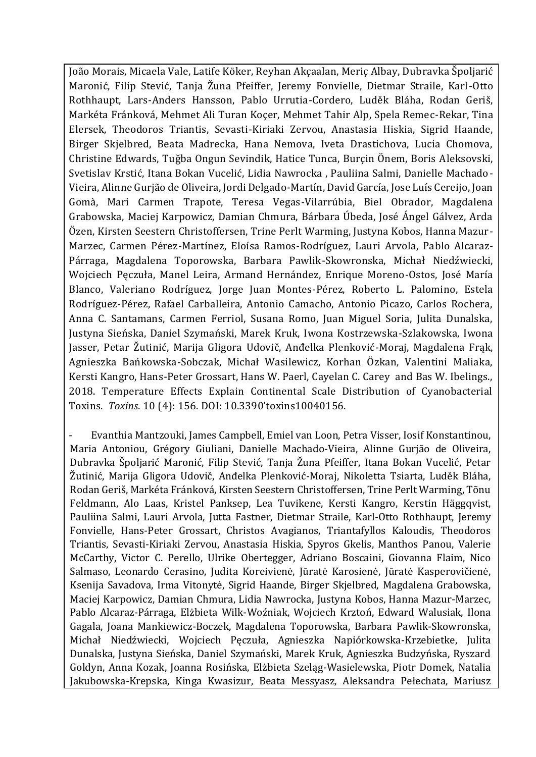João Morais, Micaela Vale, Latife Köker, Reyhan Akçaalan, Meriç Albay, Dubravka Špoljarić Maronić, Filip Stević, Tanja Žuna Pfeiffer, Jeremy Fonvielle, Dietmar Straile, Karl-Otto Rothhaupt, Lars-Anders Hansson, Pablo Urrutia-Cordero, Luděk Bláha, Rodan Geriš, Markéta Fránková, Mehmet Ali Turan Koçer, Mehmet Tahir Alp, Spela Remec-Rekar, Tina Elersek, Theodoros Triantis, Sevasti-Kiriaki Zervou, Anastasia Hiskia, Sigrid Haande, Birger Skjelbred, Beata Madrecka, Hana Nemova, Iveta Drastichova, Lucia Chomova, Christine Edwards, Tuğba Ongun Sevindik, Hatice Tunca, Burçin Önem, Boris Aleksovski, Svetislav Krstić, Itana Bokan Vucelić, Lidia Nawrocka , Pauliina Salmi, Danielle Machado-Vieira, Alinne Gurjão de Oliveira, Jordi Delgado-Martín, David García, Jose Luís Cereijo, Joan Gomà, Mari Carmen Trapote, Teresa Vegas-Vilarrúbia, Biel Obrador, Magdalena Grabowska, Maciej Karpowicz, Damian Chmura, Bárbara Úbeda, José Ángel Gálvez, Arda Özen, Kirsten Seestern Christoffersen, Trine Perlt Warming, Justyna Kobos, Hanna Mazur-Marzec, Carmen Pérez-Martínez, Eloísa Ramos-Rodríguez, Lauri Arvola, Pablo Alcaraz-Párraga, Magdalena Toporowska, Barbara Pawlik-Skowronska, Michał Niedźwiecki, Wojciech Pęczuła, Manel Leira, Armand Hernández, Enrique Moreno-Ostos, José María Blanco, Valeriano Rodríguez, Jorge Juan Montes-Pérez, Roberto L. Palomino, Estela Rodríguez-Pérez, Rafael Carballeira, Antonio Camacho, Antonio Picazo, Carlos Rochera, Anna C. Santamans, Carmen Ferriol, Susana Romo, Juan Miguel Soria, Julita Dunalska, Justyna Sieńska, Daniel Szymański, Marek Kruk, Iwona Kostrzewska-Szlakowska, Iwona Jasser, Petar Žutinić, Marija Gligora Udovič, Anđelka Plenković-Moraj, Magdalena Frąk, Agnieszka Bańkowska-Sobczak, Michał Wasilewicz, Korhan Özkan, Valentini Maliaka, Kersti Kangro, Hans-Peter Grossart, Hans W. Paerl, Cayelan C. Carey and Bas W. Ibelings., 2018. Temperature Effects Explain Continental Scale Distribution of Cyanobacterial Toxins. *Toxins*. 10 (4): 156. DOI: 10.3390'toxins10040156.

- Evanthia Mantzouki, James Campbell, Emiel van Loon, Petra Visser, Iosif Konstantinou, Maria Antoniou, Grégory Giuliani, Danielle Machado-Vieira, Alinne Gurjão de Oliveira, Dubravka Špoljarić Maronić, Filip Stević, Tanja Žuna Pfeiffer, Itana Bokan Vucelić, Petar Žutinić, Marija Gligora Udovič, Anđelka Plenković-Moraj, Nikoletta Tsiarta, Luděk Bláha, Rodan Geriš, Markéta Fránková, Kirsten Seestern Christoffersen, Trine Perlt Warming, Tõnu Feldmann, Alo Laas, Kristel Panksep, Lea Tuvikene, Kersti Kangro, Kerstin Häggqvist, Pauliina Salmi, Lauri Arvola, Jutta Fastner, Dietmar Straile, Karl-Otto Rothhaupt, Jeremy Fonvielle, Hans-Peter Grossart, Christos Avagianos, Triantafyllos Kaloudis, Theodoros Triantis, Sevasti-Kiriaki Zervou, Anastasia Hiskia, Spyros Gkelis, Manthos Panou, Valerie McCarthy, Victor C. Perello, Ulrike Obertegger, Adriano Boscaini, Giovanna Flaim, Nico Salmaso, Leonardo Cerasino, Judita Koreivienė, Jūratė Karosienė, Jūratė Kasperovičienė, Ksenija Savadova, Irma Vitonytė, Sigrid Haande, Birger Skjelbred, Magdalena Grabowska, Maciej Karpowicz, Damian Chmura, Lidia Nawrocka, Justyna Kobos, Hanna Mazur-Marzec, Pablo Alcaraz-Párraga, Elżbieta Wilk-Woźniak, Wojciech Krztoń, Edward Walusiak, Ilona Gagala, Joana Mankiewicz-Boczek, Magdalena Toporowska, Barbara Pawlik-Skowronska, Michał Niedźwiecki, Wojciech Pęczuła, Agnieszka Napiórkowska-Krzebietke, Julita Dunalska, Justyna Sieńska, Daniel Szymański, Marek Kruk, Agnieszka Budzyńska, Ryszard Goldyn, Anna Kozak, Joanna Rosińska, Elżbieta Szeląg-Wasielewska, Piotr Domek, Natalia Jakubowska-Krepska, Kinga Kwasizur, Beata Messyasz, Aleksandra Pełechata, Mariusz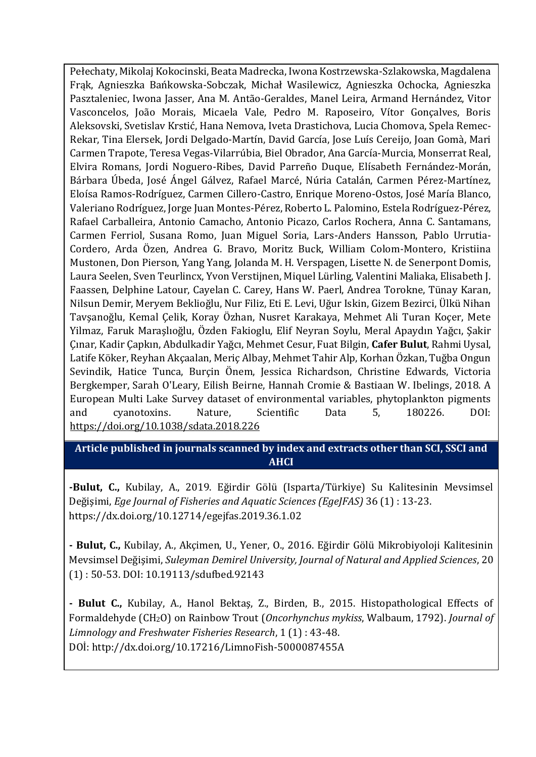Pełechaty, Mikolaj Kokocinski, Beata Madrecka, Iwona Kostrzewska-Szlakowska, Magdalena Frąk, Agnieszka Bańkowska-Sobczak, Michał Wasilewicz, Agnieszka Ochocka, Agnieszka Pasztaleniec, Iwona Jasser, Ana M. Antão-Geraldes, Manel Leira, Armand Hernández, Vitor Vasconcelos, João Morais, Micaela Vale, Pedro M. Raposeiro, Vítor Gonçalves, Boris Aleksovski, Svetislav Krstić, Hana Nemova, Iveta Drastichova, Lucia Chomova, Spela Remec-Rekar, Tina Elersek, Jordi Delgado-Martín, David García, Jose Luís Cereijo, Joan Gomà, Mari Carmen Trapote, Teresa Vegas-Vilarrúbia, Biel Obrador, Ana García-Murcia, Monserrat Real, Elvira Romans, Jordi Noguero-Ribes, David Parreño Duque, Elísabeth Fernández-Morán, Bárbara Úbeda, José Ángel Gálvez, Rafael Marcé, Núria Catalán, Carmen Pérez-Martínez, Eloísa Ramos-Rodríguez, Carmen Cillero-Castro, Enrique Moreno-Ostos, José María Blanco, Valeriano Rodríguez, Jorge Juan Montes-Pérez, Roberto L. Palomino, Estela Rodríguez-Pérez, Rafael Carballeira, Antonio Camacho, Antonio Picazo, Carlos Rochera, Anna C. Santamans, Carmen Ferriol, Susana Romo, Juan Miguel Soria, Lars-Anders Hansson, Pablo Urrutia-Cordero, Arda Özen, Andrea G. Bravo, Moritz Buck, William Colom-Montero, Kristiina Mustonen, Don Pierson, Yang Yang, Jolanda M. H. Verspagen, Lisette N. de Senerpont Domis, Laura Seelen, Sven Teurlincx, Yvon Verstijnen, Miquel Lürling, Valentini Maliaka, Elisabeth J. Faassen, Delphine Latour, Cayelan C. Carey, Hans W. Paerl, Andrea Torokne, Tünay Karan, Nilsun Demir, Meryem Beklioğlu, Nur Filiz, Eti E. Levi, Uğur Iskin, Gizem Bezirci, Ülkü Nihan Tavşanoğlu, Kemal Çelik, Koray Özhan, Nusret Karakaya, Mehmet Ali Turan Koçer, Mete Yilmaz, Faruk Maraşlıoğlu, Özden Fakioglu, Elif Neyran Soylu, Meral Apaydın Yağcı, Şakir Çınar, Kadir Çapkın, Abdulkadir Yağcı, Mehmet Cesur, Fuat Bilgin, **Cafer Bulut**, Rahmi Uysal, Latife Köker, Reyhan Akçaalan, Meriç Albay, Mehmet Tahir Alp, Korhan Özkan, Tuğba Ongun Sevindik, Hatice Tunca, Burçin Önem, Jessica Richardson, Christine Edwards, Victoria Bergkemper, Sarah O'Leary, Eilish Beirne, Hannah Cromie & Bastiaan W. Ibelings, 2018. A European Multi Lake Survey dataset of environmental variables, phytoplankton pigments and cyanotoxins. Nature, Scientific Data 5, 180226. DOI: <https://doi.org/10.1038/sdata.2018.226>

### **Article published in journals scanned by index and extracts other than SCI, SSCI and AHCI**

**-Bulut, C.,** Kubilay, A., 2019. Eğirdir Gölü (Isparta/Türkiye) Su Kalitesinin Mevsimsel Değişimi, *Ege Journal of Fisheries and Aquatic Sciences (EgeJFAS)* 36 (1) : 13-23. https://dx.doi.org/10.12714/egejfas.2019.36.1.02

**- Bulut, C.,** Kubilay, A., Akçimen, U., Yener, O., 2016. Eğirdir Gölü Mikrobiyoloji Kalitesinin Mevsimsel Değişimi, *Suleyman Demirel University, Journal of Natural and Applied Sciences*, 20 (1) : 50-53. DOI: 10.19113/sdufbed.92143

**- Bulut C.,** Kubilay, A., Hanol Bektaş, Z., Birden, B., 2015. Histopathological Effects of Formaldehyde (CH2O) on Rainbow Trout (*Oncorhynchus mykiss*, Walbaum, 1792). *Journal of Limnology and Freshwater Fisheries Research*, 1 (1) : 43-48. DOİ: http://dx.doi.org/10.17216/LimnoFish-5000087455A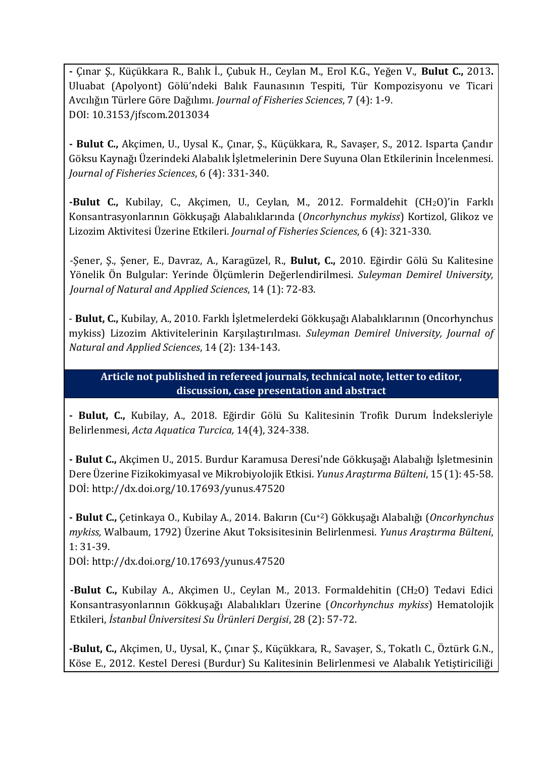**-** Çınar Ş., Küçükkara R., Balık İ., Çubuk H., Ceylan M., Erol K.G., Yeğen V., **Bulut C.,** 2013**.**  Uluabat (Apolyont) Gölü'ndeki Balık Faunasının Tespiti, Tür Kompozisyonu ve Ticari Avcılığın Türlere Göre Dağılımı. *Journal of Fisheries Sciences*, 7 (4): 1-9. DOI: 10.3153/jfscom.2013034

**- Bulut C.,** Akçimen, U., Uysal K., Çınar, Ş., Küçükkara, R., Savaşer, S., 2012. Isparta Çandır Göksu Kaynağı Üzerindeki Alabalık İşletmelerinin Dere Suyuna Olan Etkilerinin İncelenmesi. *Journal of Fisheries Sciences*, 6 (4): 331-340.

**-Bulut C.,** Kubilay, C., Akçimen, U., Ceylan, M., 2012. Formaldehit (CH2O)'in Farklı Konsantrasyonlarının Gökkuşağı Alabalıklarında (*Oncorhynchus mykiss*) Kortizol, Glikoz ve Lizozim Aktivitesi Üzerine Etkileri. *Journal of Fisheries Sciences*, 6 (4): 321-330.

-Şener, Ş., Şener, E., Davraz, A., Karagüzel, R., **Bulut, C.,** 2010. Eğirdir Gölü Su Kalitesine Yönelik Ön Bulgular: Yerinde Ölçümlerin Değerlendirilmesi. *Suleyman Demirel University, Journal of Natural and Applied Sciences*, 14 (1): 72-83.

- **Bulut, C.,** Kubilay, A., 2010. Farklı İşletmelerdeki Gökkuşağı Alabalıklarının (Oncorhynchus mykiss) Lizozim Aktivitelerinin Karşılaştırılması. *Suleyman Demirel University, Journal of Natural and Applied Sciences*, 14 (2): 134-143.

## **Article not published in refereed journals, technical note, letter to editor, discussion, case presentation and abstract**

**- Bulut, C.,** Kubilay, A., 2018. Eğirdir Gölü Su Kalitesinin Trofik Durum İndeksleriyle Belirlenmesi, *Acta Aquatica Turcica,* 14(4), 324-338.

**- Bulut C.,** Akçimen U., 2015. Burdur Karamusa Deresi'nde Gökkuşağı Alabalığı İşletmesinin Dere Üzerine Fizikokimyasal ve Mikrobiyolojik Etkisi. *Yunus Araştırma Bülteni*, 15 (1): 45-58. DOİ: http://dx.doi.org/10.17693/yunus.47520

**- Bulut C.,** Çetinkaya O., Kubilay A., 2014. Bakırın (Cu+2) Gökkuşağı Alabalığı (*Oncorhynchus mykiss,* Walbaum, 1792) Üzerine Akut Toksisitesinin Belirlenmesi. *Yunus Araştırma Bülteni*, 1: 31-39.

DOİ: http://dx.doi.org/10.17693/yunus.47520

**-Bulut C.,** Kubilay A., Akçimen U., Ceylan M., 2013. Formaldehitin (CH<sub>2</sub>O) Tedavi Edici Konsantrasyonlarının Gökkuşağı Alabalıkları Üzerine (*Oncorhynchus mykiss*) Hematolojik Etkileri, *İstanbul Üniversitesi Su Ürünleri Dergisi*, 28 (2): 57-72.

**-Bulut, C.,** Akçimen, U., Uysal, K., Çınar Ş., Küçükkara, R., Savaşer, S., Tokatlı C., Öztürk G.N., Köse E., 2012. Kestel Deresi (Burdur) Su Kalitesinin Belirlenmesi ve Alabalık Yetiştiriciliği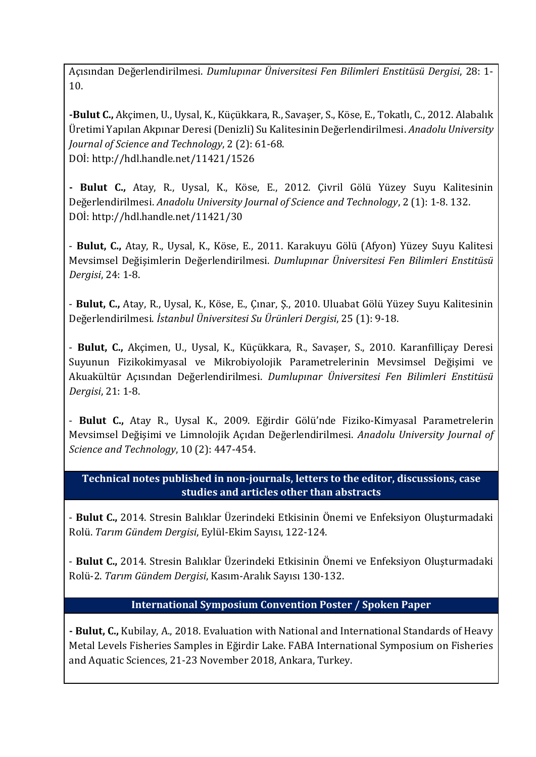Açısından Değerlendirilmesi. *Dumlupınar Üniversitesi Fen Bilimleri Enstitüsü Dergisi*, 28: 1- 10.

**-Bulut C.,** Akçimen, U., Uysal, K., Küçükkara, R., Savaşer, S., Köse, E., Tokatlı, C., 2012. Alabalık Üretimi Yapılan Akpınar Deresi (Denizli) Su Kalitesinin Değerlendirilmesi. *Anadolu University Journal of Science and Technology*, 2 (2): 61-68. DOİ: http://hdl.handle.net/11421/1526

**- Bulut C.,** Atay, R., Uysal, K., Köse, E., 2012. Çivril Gölü Yüzey Suyu Kalitesinin Değerlendirilmesi. *Anadolu University Journal of Science and Technology*, 2 (1): 1-8. 132. DOİ: http://hdl.handle.net/11421/30

- **Bulut, C.,** Atay, R., Uysal, K., Köse, E., 2011. Karakuyu Gölü (Afyon) Yüzey Suyu Kalitesi Mevsimsel Değişimlerin Değerlendirilmesi. *Dumlupınar Üniversitesi Fen Bilimleri Enstitüsü Dergisi*, 24: 1-8.

- **Bulut, C.,** Atay, R., Uysal, K., Köse, E., Çınar, Ş., 2010. Uluabat Gölü Yüzey Suyu Kalitesinin Değerlendirilmesi. *İstanbul Üniversitesi Su Ürünleri Dergisi*, 25 (1): 9-18.

- **Bulut, C.,** Akçimen, U., Uysal, K., Küçükkara, R., Savaşer, S., 2010. Karanfilliçay Deresi Suyunun Fizikokimyasal ve Mikrobiyolojik Parametrelerinin Mevsimsel Değişimi ve Akuakültür Açısından Değerlendirilmesi. *Dumlupınar Üniversitesi Fen Bilimleri Enstitüsü Dergisi*, 21: 1-8.

- **Bulut C.,** Atay R., Uysal K., 2009. Eğirdir Gölü'nde Fiziko-Kimyasal Parametrelerin Mevsimsel Değişimi ve Limnolojik Açıdan Değerlendirilmesi. *Anadolu University Journal of Science and Technology*, 10 (2): 447-454.

**Technical notes published in non-journals, letters to the editor, discussions, case studies and articles other than abstracts**

- **Bulut C.,** 2014. Stresin Balıklar Üzerindeki Etkisinin Önemi ve Enfeksiyon Oluşturmadaki Rolü. *Tarım Gündem Dergisi*, Eylül-Ekim Sayısı, 122-124.

- **Bulut C.,** 2014. Stresin Balıklar Üzerindeki Etkisinin Önemi ve Enfeksiyon Oluşturmadaki Rolü-2. *Tarım Gündem Dergisi*, Kasım-Aralık Sayısı 130-132.

### **International Symposium Convention Poster / Spoken Paper**

**- Bulut, C.,** Kubilay, A., 2018. Evaluation with National and International Standards of Heavy Metal Levels Fisheries Samples in Eğirdir Lake. FABA International Symposium on Fisheries and Aquatic Sciences, 21-23 November 2018, Ankara, Turkey.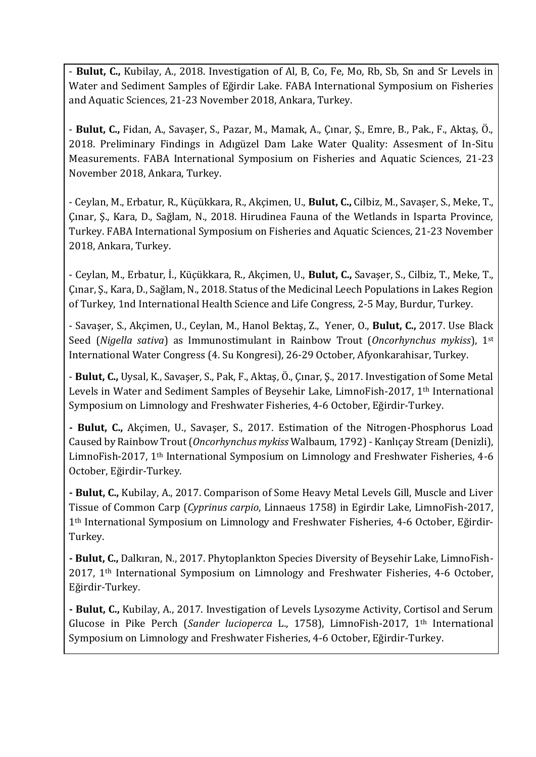- **Bulut, C.,** Kubilay, A., 2018. Investigation of Al, B, Co, Fe, Mo, Rb, Sb, Sn and Sr Levels in Water and Sediment Samples of Eğirdir Lake. FABA International Symposium on Fisheries and Aquatic Sciences, 21-23 November 2018, Ankara, Turkey.

- **Bulut, C.,** Fidan, A., Savaşer, S., Pazar, M., Mamak, A., Çınar, Ş., Emre, B., Pak., F., Aktaş, Ö., 2018. Preliminary Findings in Adıgüzel Dam Lake Water Quality: Assesment of In-Situ Measurements. FABA International Symposium on Fisheries and Aquatic Sciences, 21-23 November 2018, Ankara, Turkey.

- Ceylan, M., Erbatur, R., Küçükkara, R., Akçimen, U., **Bulut, C.,** Cilbiz, M., Savaşer, S., Meke, T., Çınar, Ş., Kara, D., Sağlam, N., 2018. Hirudinea Fauna of the Wetlands in Isparta Province, Turkey. FABA International Symposium on Fisheries and Aquatic Sciences, 21-23 November 2018, Ankara, Turkey.

- Ceylan, M., Erbatur, İ., Küçükkara, R., Akçimen, U., **Bulut, C.,** Savaşer, S., Cilbiz, T., Meke, T., Çınar, Ş., Kara, D., Sağlam, N., 2018. Status of the Medicinal Leech Populations in Lakes Region of Turkey, 1nd International Health Science and Life Congress, 2-5 May, Burdur, Turkey.

- Savaşer, S., Akçimen, U., Ceylan, M., Hanol Bektaş, Z., Yener, O., **Bulut, C.,** 2017. Use Black Seed (*Nigella sativa*) as Immunostimulant in Rainbow Trout (*Oncorhynchus mykiss*), 1st International Water Congress (4. Su Kongresi), 26-29 October, Afyonkarahisar, Turkey.

- **Bulut, C.,** Uysal, K., Savaşer, S., Pak, F., Aktaş, Ö., Çınar, Ş., 2017. Investigation of Some Metal Levels in Water and Sediment Samples of Beysehir Lake, LimnoFish-2017, 1<sup>th</sup> International Symposium on Limnology and Freshwater Fisheries, 4-6 October, Eğirdir-Turkey.

**- Bulut, C.,** Akçimen, U., Savaşer, S., 2017. Estimation of the Nitrogen-Phosphorus Load Caused by Rainbow Trout (*Oncorhynchus mykiss* Walbaum, 1792) - Kanlıçay Stream (Denizli), LimnoFish-2017, 1th International Symposium on Limnology and Freshwater Fisheries, 4-6 October, Eğirdir-Turkey.

**- Bulut, C.,** Kubilay, A., 2017. Comparison of Some Heavy Metal Levels Gill, Muscle and Liver Tissue of Common Carp (*Cyprinus carpio*, Linnaeus 1758) in Egirdir Lake, LimnoFish-2017, 1th International Symposium on Limnology and Freshwater Fisheries, 4-6 October, Eğirdir-Turkey.

**- Bulut, C.,** Dalkıran, N., 2017. Phytoplankton Species Diversity of Beysehir Lake, LimnoFish-2017, 1th International Symposium on Limnology and Freshwater Fisheries, 4-6 October, Eğirdir-Turkey.

**- Bulut, C.,** Kubilay, A., 2017. Investigation of Levels Lysozyme Activity, Cortisol and Serum Glucose in Pike Perch (*Sander lucioperca* L., 1758), LimnoFish-2017, 1th International Symposium on Limnology and Freshwater Fisheries, 4-6 October, Eğirdir-Turkey.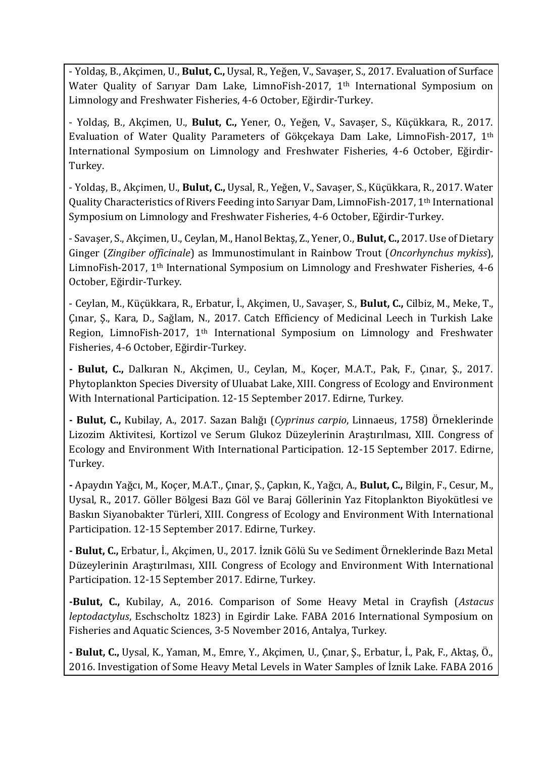- Yoldaş, B., Akçimen, U., **Bulut, C.,** Uysal, R., Yeğen, V., Savaşer, S., 2017. Evaluation of Surface Water Quality of Sarıyar Dam Lake, LimnoFish-2017, 1<sup>th</sup> International Symposium on Limnology and Freshwater Fisheries, 4-6 October, Eğirdir-Turkey.

- Yoldaş, B., Akçimen, U., **Bulut, C.,** Yener, O., Yeğen, V., Savaşer, S., Küçükkara, R., 2017. Evaluation of Water Quality Parameters of Gökçekaya Dam Lake, LimnoFish-2017, 1th International Symposium on Limnology and Freshwater Fisheries, 4-6 October, Eğirdir-Turkey.

- Yoldaş, B., Akçimen, U., **Bulut, C.,** Uysal, R., Yeğen, V., Savaşer, S., Küçükkara, R., 2017. Water Quality Characteristics of Rivers Feeding into Sarıyar Dam, LimnoFish-2017, 1th International Symposium on Limnology and Freshwater Fisheries, 4-6 October, Eğirdir-Turkey.

-Savaşer, S., Akçimen, U., Ceylan, M., Hanol Bektaş, Z., Yener, O., **Bulut, C.,** 2017. Use of Dietary Ginger (*Zingiber officinale*) as Immunostimulant in Rainbow Trout (*Oncorhynchus mykiss*), LimnoFish-2017, 1th International Symposium on Limnology and Freshwater Fisheries, 4-6 October, Eğirdir-Turkey.

- Ceylan, M., Küçükkara, R., Erbatur, İ., Akçimen, U., Savaşer, S., **Bulut, C.,** Cilbiz, M., Meke, T., Çınar, Ş., Kara, D., Sağlam, N., 2017. Catch Efficiency of Medicinal Leech in Turkish Lake Region, LimnoFish-2017, 1th International Symposium on Limnology and Freshwater Fisheries, 4-6 October, Eğirdir-Turkey.

**- Bulut, C.,** Dalkıran N., Akçimen, U., Ceylan, M., Koçer, M.A.T., Pak, F., Çınar, Ş., 2017. Phytoplankton Species Diversity of Uluabat Lake, XIII. Congress of Ecology and Environment With International Participation. 12-15 September 2017. Edirne, Turkey.

**- Bulut, C.,** Kubilay, A., 2017. Sazan Balığı (*Cyprinus carpio*, Linnaeus, 1758) Örneklerinde Lizozim Aktivitesi, Kortizol ve Serum Glukoz Düzeylerinin Araştırılması, XIII. Congress of Ecology and Environment With International Participation. 12-15 September 2017. Edirne, Turkey.

**-** Apaydın Yağcı, M., Koçer, M.A.T., Çınar, Ş., Çapkın, K., Yağcı, A., **Bulut, C.,** Bilgin, F., Cesur, M., Uysal, R., 2017. Göller Bölgesi Bazı Göl ve Baraj Göllerinin Yaz Fitoplankton Biyokütlesi ve Baskın Siyanobakter Türleri, XIII. Congress of Ecology and Environment With International Participation. 12-15 September 2017. Edirne, Turkey.

**- Bulut, C.,** Erbatur, İ., Akçimen, U., 2017. İznik Gölü Su ve Sediment Örneklerinde Bazı Metal Düzeylerinin Araştırılması, XIII. Congress of Ecology and Environment With International Participation. 12-15 September 2017. Edirne, Turkey.

**-Bulut, C.,** Kubilay, A., 2016. Comparison of Some Heavy Metal in Crayfish (*Astacus leptodactylus*, Eschscholtz 1823) in Egirdir Lake. FABA 2016 International Symposium on Fisheries and Aquatic Sciences, 3-5 November 2016, Antalya, Turkey.

**- Bulut, C.,** Uysal, K., Yaman, M., Emre, Y., Akçimen, U., Çınar, Ş., Erbatur, İ., Pak, F., Aktaş, Ö., 2016. Investigation of Some Heavy Metal Levels in Water Samples of İznik Lake. FABA 2016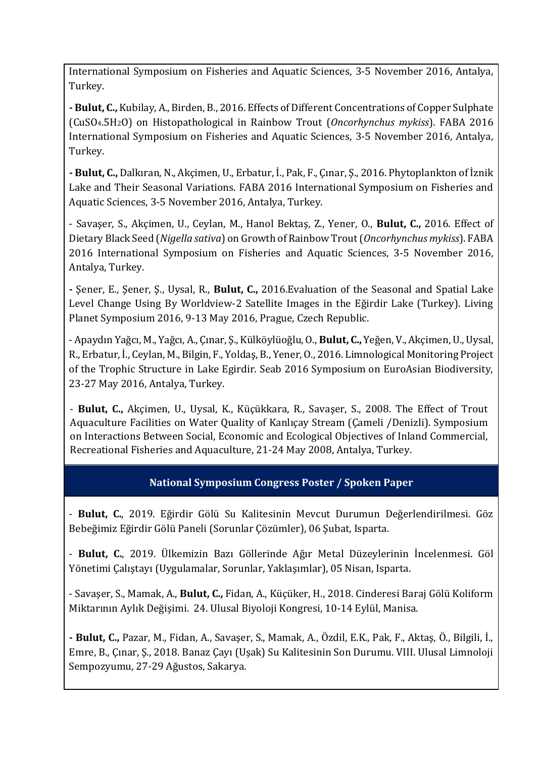International Symposium on Fisheries and Aquatic Sciences, 3-5 November 2016, Antalya, Turkey.

**- Bulut, C.,** Kubilay, A., Birden, B., 2016. Effects of Different Concentrations of Copper Sulphate (CuSO4.5H2O) on Histopathological in Rainbow Trout (*Oncorhynchus mykiss*). FABA 2016 International Symposium on Fisheries and Aquatic Sciences, 3-5 November 2016, Antalya, Turkey.

**- Bulut, C.,** Dalkıran, N., Akçimen, U., Erbatur, İ., Pak, F., Çınar, Ş., 2016. Phytoplankton of İznik Lake and Their Seasonal Variations. FABA 2016 International Symposium on Fisheries and Aquatic Sciences, 3-5 November 2016, Antalya, Turkey.

- Savaşer, S., Akçimen, U., Ceylan, M., Hanol Bektaş, Z., Yener, O., **Bulut, C.,** 2016. Effect of Dietary Black Seed (*Nigella sativa*) on Growth of Rainbow Trout (*Oncorhynchus mykiss*). FABA 2016 International Symposium on Fisheries and Aquatic Sciences, 3-5 November 2016, Antalya, Turkey.

**-** Şener, E., Şener, Ş., Uysal, R., **Bulut, C.,** 2016.Evaluation of the Seasonal and Spatial Lake Level Change Using By Worldview-2 Satellite Images in the Eğirdir Lake (Turkey). Living Planet Symposium 2016, 9-13 May 2016, Prague, Czech Republic.

- Apaydın Yağcı, M., Yağcı, A., Çınar, Ş., Külköylüoğlu, O., **Bulut, C.,** Yeğen, V., Akçimen, U., Uysal, R., Erbatur, İ., Ceylan, M., Bilgin, F., Yoldaş, B., Yener, O., 2016. Limnological Monitoring Project of the Trophic Structure in Lake Egirdir. Seab 2016 Symposium on EuroAsian Biodiversity, 23-27 May 2016, Antalya, Turkey.

- **Bulut, C.,** Akçimen, U., Uysal, K., Küçükkara, R., Savaşer, S., 2008. The Effect of Trout Aquaculture Facilities on Water Quality of Kanlıçay Stream (Çameli /Denizli). Symposium on Interactions Between Social, Economic and Ecological Objectives of Inland Commercial, Recreational Fisheries and Aquaculture, 21-24 May 2008, Antalya, Turkey.

# **National Symposium Congress Poster / Spoken Paper**

- **Bulut, C.**, 2019. Eğirdir Gölü Su Kalitesinin Mevcut Durumun Değerlendirilmesi. Göz Bebeğimiz Eğirdir Gölü Paneli (Sorunlar Çözümler), 06 Şubat, Isparta.

- **Bulut, C.**, 2019. Ülkemizin Bazı Göllerinde Ağır Metal Düzeylerinin İncelenmesi. Göl Yönetimi Çalıştayı (Uygulamalar, Sorunlar, Yaklaşımlar), 05 Nisan, Isparta.

- Savaşer, S., Mamak, A., **Bulut, C.,** Fidan, A., Küçüker, H., 2018. Cinderesi Baraj Gölü Koliform Miktarının Aylık Değişimi. 24. Ulusal Biyoloji Kongresi, 10-14 Eylül, Manisa.

**- Bulut, C.,** Pazar, M., Fidan, A., Savaşer, S., Mamak, A., Özdil, E.K., Pak, F., Aktaş, Ö., Bilgili, İ., Emre, B., Çınar, Ş., 2018. Banaz Çayı (Uşak) Su Kalitesinin Son Durumu. VIII. Ulusal Limnoloji Sempozyumu, 27-29 Ağustos, Sakarya.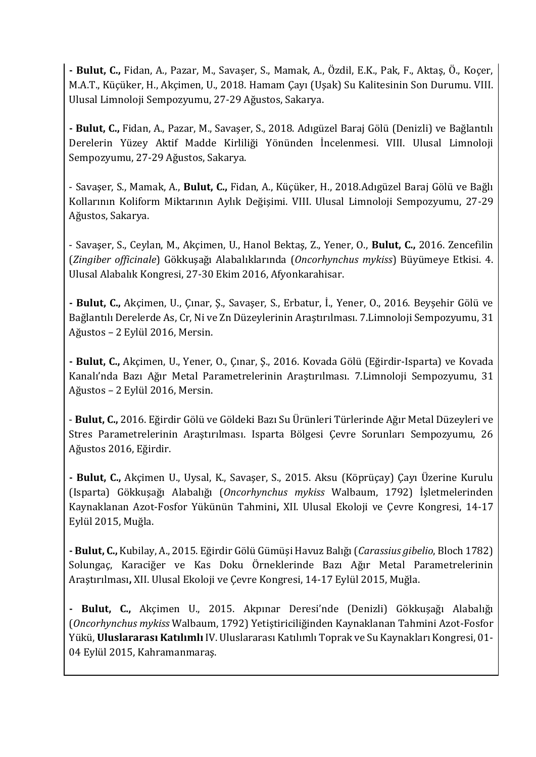**- Bulut, C.,** Fidan, A., Pazar, M., Savaşer, S., Mamak, A., Özdil, E.K., Pak, F., Aktaş, Ö., Koçer, M.A.T., Küçüker, H., Akçimen, U., 2018. Hamam Çayı (Uşak) Su Kalitesinin Son Durumu. VIII. Ulusal Limnoloji Sempozyumu, 27-29 Ağustos, Sakarya.

**- Bulut, C.,** Fidan, A., Pazar, M., Savaşer, S., 2018. Adıgüzel Baraj Gölü (Denizli) ve Bağlantılı Derelerin Yüzey Aktif Madde Kirliliği Yönünden İncelenmesi. VIII. Ulusal Limnoloji Sempozyumu, 27-29 Ağustos, Sakarya.

- Savaşer, S., Mamak, A., **Bulut, C.,** Fidan, A., Küçüker, H., 2018.Adıgüzel Baraj Gölü ve Bağlı Kollarının Koliform Miktarının Aylık Değişimi. VIII. Ulusal Limnoloji Sempozyumu, 27-29 Ağustos, Sakarya.

- Savaşer, S., Ceylan, M., Akçimen, U., Hanol Bektaş, Z., Yener, O., **Bulut, C.,** 2016. Zencefilin (*Zingiber officinale*) Gökkuşağı Alabalıklarında (*Oncorhynchus mykiss*) Büyümeye Etkisi. 4. Ulusal Alabalık Kongresi, 27-30 Ekim 2016, Afyonkarahisar.

**- Bulut, C.,** Akçimen, U., Çınar, Ş., Savaşer, S., Erbatur, İ., Yener, O., 2016. Beyşehir Gölü ve Bağlantılı Derelerde As, Cr, Ni ve Zn Düzeylerinin Araştırılması. 7.Limnoloji Sempozyumu, 31 Ağustos – 2 Eylül 2016, Mersin.

**- Bulut, C.,** Akçimen, U., Yener, O., Çınar, Ş., 2016. Kovada Gölü (Eğirdir-Isparta) ve Kovada Kanalı'nda Bazı Ağır Metal Parametrelerinin Araştırılması. 7.Limnoloji Sempozyumu, 31 Ağustos – 2 Eylül 2016, Mersin.

- **Bulut, C.,** 2016. Eğirdir Gölü ve Göldeki Bazı Su Ürünleri Türlerinde Ağır Metal Düzeyleri ve Stres Parametrelerinin Araştırılması. Isparta Bölgesi Çevre Sorunları Sempozyumu, 26 Ağustos 2016, Eğirdir.

**- Bulut, C.,** Akçimen U., Uysal, K., Savaşer, S., 2015. Aksu (Köprüçay) Çayı Üzerine Kurulu (Isparta) Gökkuşağı Alabalığı (*Oncorhynchus mykiss* Walbaum, 1792) İşletmelerinden Kaynaklanan Azot-Fosfor Yükünün Tahmini**,** XII. Ulusal Ekoloji ve Çevre Kongresi, 14-17 Eylül 2015, Muğla.

**- Bulut, C.,** Kubilay, A., 2015. Eğirdir Gölü Gümüşi Havuz Balığı (*Carassius gibelio*, Bloch 1782) Solungaç, Karaciğer ve Kas Doku Örneklerinde Bazı Ağır Metal Parametrelerinin Araştırılması**,** XII. Ulusal Ekoloji ve Çevre Kongresi, 14-17 Eylül 2015, Muğla.

**- Bulut, C.,** Akçimen U., 2015. Akpınar Deresi'nde (Denizli) Gökkuşağı Alabalığı (*Oncorhynchus mykiss* Walbaum, 1792) Yetiştiriciliğinden Kaynaklanan Tahmini Azot-Fosfor Yükü, **Uluslararası Katılımlı** IV. Uluslararası Katılımlı Toprak ve Su Kaynakları Kongresi, 01- 04 Eylül 2015, Kahramanmaraş.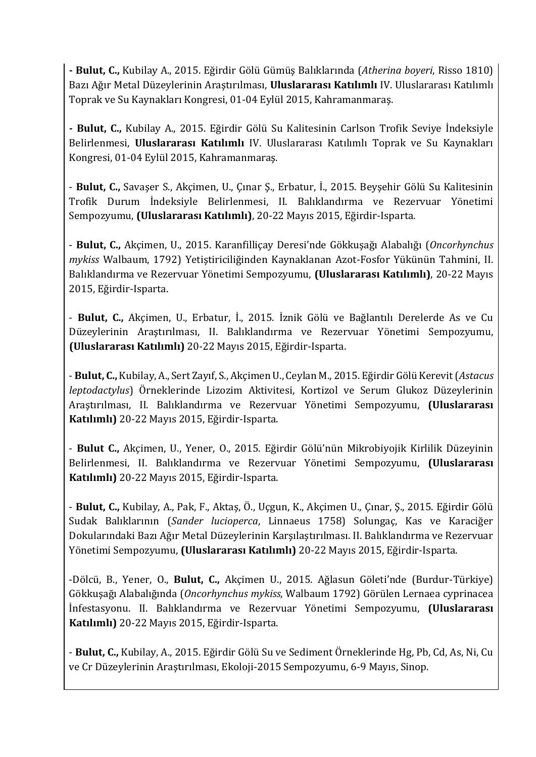**- Bulut, C.,** Kubilay A., 2015. Eğirdir Gölü Gümüş Balıklarında (*Atherina boyeri*, Risso 1810) Bazı Ağır Metal Düzeylerinin Araştırılması, **Uluslararası Katılımlı** IV. Uluslararası Katılımlı Toprak ve Su Kaynakları Kongresi, 01-04 Eylül 2015, Kahramanmaraş.

**- Bulut, C.,** Kubilay A., 2015. Eğirdir Gölü Su Kalitesinin Carlson Trofik Seviye İndeksiyle Belirlenmesi, **Uluslararası Katılımlı** IV. Uluslararası Katılımlı Toprak ve Su Kaynakları Kongresi, 01-04 Eylül 2015, Kahramanmaraş.

- **Bulut, C.,** Savaşer S., Akçimen, U., Çınar Ş., Erbatur, İ., 2015. Beyşehir Gölü Su Kalitesinin Trofik Durum İndeksiyle Belirlenmesi, II. Balıklandırma ve Rezervuar Yönetimi Sempozyumu, **(Uluslararası Katılımlı)**, 20-22 Mayıs 2015, Eğirdir-Isparta.

- **Bulut, C.,** Akçimen, U., 2015. Karanfilliçay Deresi'nde Gökkuşağı Alabalığı (*Oncorhynchus mykiss* Walbaum, 1792) Yetiştiriciliğinden Kaynaklanan Azot-Fosfor Yükünün Tahmini, II. Balıklandırma ve Rezervuar Yönetimi Sempozyumu, **(Uluslararası Katılımlı)**, 20-22 Mayıs 2015, Eğirdir-Isparta.

- **Bulut, C.,** Akçimen, U., Erbatur, İ., 2015. İznik Gölü ve Bağlantılı Derelerde As ve Cu Düzeylerinin Araştırılması, II. Balıklandırma ve Rezervuar Yönetimi Sempozyumu, **(Uluslararası Katılımlı)** 20-22 Mayıs 2015, Eğirdir-Isparta.

- **Bulut, C.,** Kubilay, A., Sert Zayıf, S., Akçimen U., Ceylan M., 2015. Eğirdir Gölü Kerevit (*Astacus leptodactylus*) Örneklerinde Lizozim Aktivitesi, Kortizol ve Serum Glukoz Düzeylerinin Araştırılması, II. Balıklandırma ve Rezervuar Yönetimi Sempozyumu, **(Uluslararası Katılımlı)** 20-22 Mayıs 2015, Eğirdir-Isparta.

- **Bulut C.,** Akçimen, U., Yener, O., 2015. Eğirdir Gölü'nün Mikrobiyojik Kirlilik Düzeyinin Belirlenmesi, II. Balıklandırma ve Rezervuar Yönetimi Sempozyumu, **(Uluslararası Katılımlı)** 20-22 Mayıs 2015, Eğirdir-Isparta.

- **Bulut, C.,** Kubilay, A., Pak, F., Aktaş, Ö., Uçgun, K., Akçimen U., Çınar, Ş., 2015. Eğirdir Gölü Sudak Balıklarının (*Sander lucioperca*, Linnaeus 1758) Solungaç, Kas ve Karaciğer Dokularındaki Bazı Ağır Metal Düzeylerinin Karşılaştırılması. II. Balıklandırma ve Rezervuar Yönetimi Sempozyumu, **(Uluslararası Katılımlı)** 20-22 Mayıs 2015, Eğirdir-Isparta.

-Dölcü, B., Yener, O., **Bulut, C.,** Akçimen U., 2015. Ağlasun Göleti'nde (Burdur-Türkiye) Gökkuşağı Alabalığında (*Oncorhynchus mykiss*, Walbaum 1792) Görülen Lernaea cyprinacea İnfestasyonu. II. Balıklandırma ve Rezervuar Yönetimi Sempozyumu, **(Uluslararası Katılımlı)** 20-22 Mayıs 2015, Eğirdir-Isparta.

- **Bulut, C.,** Kubilay, A., 2015. Eğirdir Gölü Su ve Sediment Örneklerinde Hg, Pb, Cd, As, Ni, Cu ve Cr Düzeylerinin Araştırılması, Ekoloji-2015 Sempozyumu, 6-9 Mayıs, Sinop.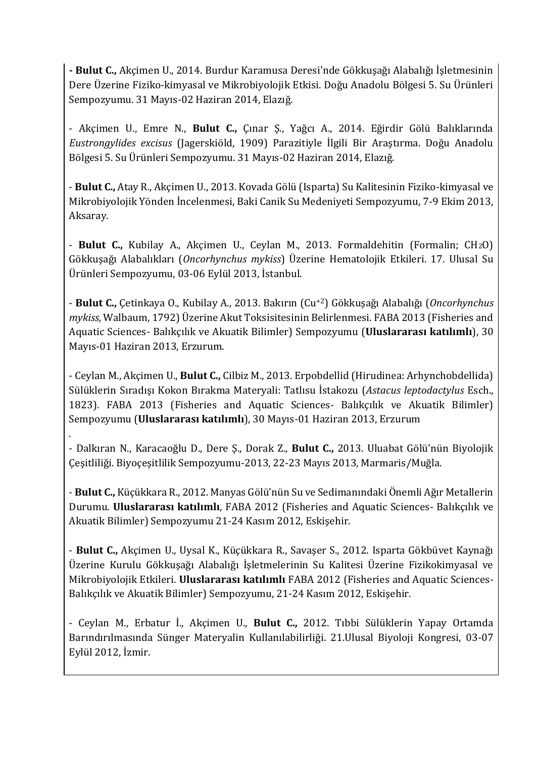**- Bulut C.,** Akçimen U., 2014. Burdur Karamusa Deresi'nde Gökkuşağı Alabalığı İşletmesinin Dere Üzerine Fiziko-kimyasal ve Mikrobiyolojik Etkisi. Doğu Anadolu Bölgesi 5. Su Ürünleri Sempozyumu. 31 Mayıs-02 Haziran 2014, Elazığ.

- Akçimen U., Emre N., **Bulut C.,** Çınar Ş., Yağcı A., 2014. Eğirdir Gölü Balıklarında *Eustrongylides excisus* (Jagerskiöld, 1909) Parazitiyle İlgili Bir Araştırma. Doğu Anadolu Bölgesi 5. Su Ürünleri Sempozyumu. 31 Mayıs-02 Haziran 2014, Elazığ.

- **Bulut C.,** Atay R., Akçimen U., 2013. Kovada Gölü (Isparta) Su Kalitesinin Fiziko-kimyasal ve Mikrobiyolojik Yönden İncelenmesi, Baki Canik Su Medeniyeti Sempozyumu, 7-9 Ekim 2013, Aksaray.

- **Bulut C.,** Kubilay A., Akçimen U., Ceylan M., 2013. Formaldehitin (Formalin; CH2O) Gökkuşağı Alabalıkları (*Oncorhynchus mykiss*) Üzerine Hematolojik Etkileri. 17. Ulusal Su Ürünleri Sempozyumu, 03-06 Eylül 2013, İstanbul.

- **Bulut C.,** Çetinkaya O., Kubilay A., 2013. Bakırın (Cu+2) Gökkuşağı Alabalığı (*Oncorhynchus mykiss,* Walbaum, 1792) Üzerine Akut Toksisitesinin Belirlenmesi. FABA 2013 (Fisheries and Aquatic Sciences- Balıkçılık ve Akuatik Bilimler) Sempozyumu (**Uluslararası katılımlı**), 30 Mayıs-01 Haziran 2013, Erzurum.

- Ceylan M., Akçimen U., **Bulut C.,** Cilbiz M., 2013. Erpobdellid (Hirudinea: Arhynchobdellida) Sülüklerin Sıradışı Kokon Bırakma Materyali: Tatlısu İstakozu (*Astacus leptodactylus* Esch., 1823). FABA 2013 (Fisheries and Aquatic Sciences- Balıkçılık ve Akuatik Bilimler) Sempozyumu (**Uluslararası katılımlı**), 30 Mayıs-01 Haziran 2013, Erzurum

- Dalkıran N., Karacaoğlu D., Dere Ş., Dorak Z., **Bulut C.,** 2013. Uluabat Gölü'nün Biyolojik Çeşitliliği. Biyoçeşitlilik Sempozyumu-2013, 22-23 Mayıs 2013, Marmaris/Muğla.

.

- **Bulut C.,** Küçükkara R., 2012. Manyas Gölü'nün Su ve Sedimanındaki Önemli Ağır Metallerin Durumu. **Uluslararası katılımlı**, FABA 2012 (Fisheries and Aquatic Sciences- Balıkçılık ve Akuatik Bilimler) Sempozyumu 21-24 Kasım 2012, Eskişehir.

- **Bulut C.,** Akçimen U., Uysal K., Küçükkara R., Savaşer S., 2012. Isparta Gökbüvet Kaynağı Üzerine Kurulu Gökkuşağı Alabalığı İşletmelerinin Su Kalitesi Üzerine Fizikokimyasal ve Mikrobiyolojik Etkileri. **Uluslararası katılımlı** FABA 2012 (Fisheries and Aquatic Sciences-Balıkçılık ve Akuatik Bilimler) Sempozyumu, 21-24 Kasım 2012, Eskişehir.

- Ceylan M., Erbatur İ., Akçimen U., **Bulut C.,** 2012. Tıbbi Sülüklerin Yapay Ortamda Barındırılmasında Sünger Materyalin Kullanılabilirliği. 21.Ulusal Biyoloji Kongresi, 03-07 Eylül 2012, İzmir.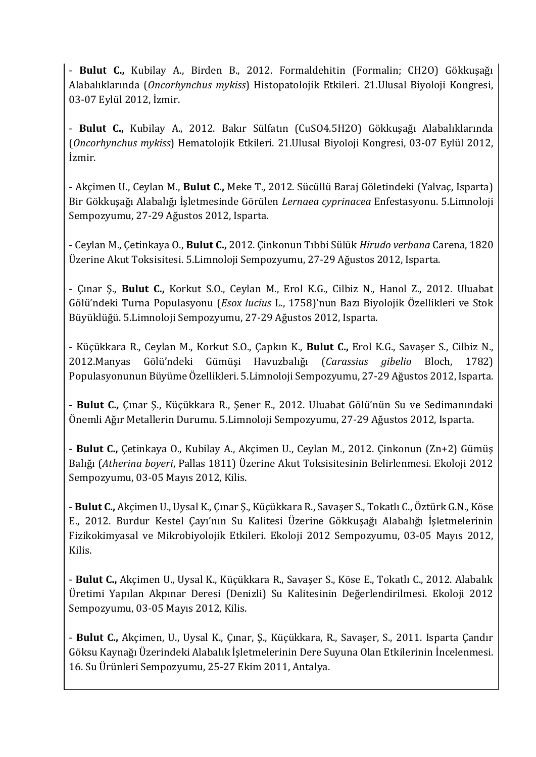- **Bulut C.,** Kubilay A., Birden B., 2012. Formaldehitin (Formalin; CH2O) Gökkuşağı Alabalıklarında (*Oncorhynchus mykiss*) Histopatolojik Etkileri. 21.Ulusal Biyoloji Kongresi, 03-07 Eylül 2012, İzmir.

- **Bulut C.,** Kubilay A., 2012. Bakır Sülfatın (CuSO4.5H2O) Gökkuşağı Alabalıklarında (*Oncorhynchus mykiss*) Hematolojik Etkileri. 21.Ulusal Biyoloji Kongresi, 03-07 Eylül 2012, İzmir.

- Akçimen U., Ceylan M., **Bulut C.,** Meke T., 2012. Sücüllü Baraj Göletindeki (Yalvaç, Isparta) Bir Gökkuşağı Alabalığı İşletmesinde Görülen *Lernaea cyprinacea* Enfestasyonu. 5.Limnoloji Sempozyumu, 27-29 Ağustos 2012, Isparta.

- Ceylan M., Çetinkaya O., **Bulut C.,** 2012. Çinkonun Tıbbi Sülük *Hirudo verbana* Carena, 1820 Üzerine Akut Toksisitesi. 5.Limnoloji Sempozyumu, 27-29 Ağustos 2012, Isparta.

- Çınar Ş., **Bulut C.,** Korkut S.O., Ceylan M., Erol K.G., Cilbiz N., Hanol Z., 2012. Uluabat Gölü'ndeki Turna Populasyonu (*Esox lucius* L., 1758)'nun Bazı Biyolojik Özellikleri ve Stok Büyüklüğü. 5.Limnoloji Sempozyumu, 27-29 Ağustos 2012, Isparta.

- Küçükkara R., Ceylan M., Korkut S.O., Çapkın K., **Bulut C.,** Erol K.G., Savaşer S., Cilbiz N., 2012.Manyas Gölü'ndeki Gümüşi Havuzbalığı (*Carassius gibelio* Bloch, 1782) Populasyonunun Büyüme Özellikleri. 5.Limnoloji Sempozyumu, 27-29 Ağustos 2012, Isparta.

- **Bulut C.,** Çınar Ş., Küçükkara R., Şener E., 2012. Uluabat Gölü'nün Su ve Sedimanındaki Önemli Ağır Metallerin Durumu. 5.Limnoloji Sempozyumu, 27-29 Ağustos 2012, Isparta.

- **Bulut C.,** Çetinkaya O., Kubilay A., Akçimen U., Ceylan M., 2012. Çinkonun (Zn+2) Gümüş Balığı (*Atherina boyeri*, Pallas 1811) Üzerine Akut Toksisitesinin Belirlenmesi. Ekoloji 2012 Sempozyumu, 03-05 Mayıs 2012, Kilis.

- **Bulut C.,** Akçimen U., Uysal K., Çınar Ş., Küçükkara R., Savaşer S., Tokatlı C., Öztürk G.N., Köse E., 2012. Burdur Kestel Çayı'nın Su Kalitesi Üzerine Gökkuşağı Alabalığı İşletmelerinin Fizikokimyasal ve Mikrobiyolojik Etkileri. Ekoloji 2012 Sempozyumu, 03-05 Mayıs 2012, Kilis.

- **Bulut C.,** Akçimen U., Uysal K., Küçükkara R., Savaşer S., Köse E., Tokatlı C., 2012. Alabalık Üretimi Yapılan Akpınar Deresi (Denizli) Su Kalitesinin Değerlendirilmesi. Ekoloji 2012 Sempozyumu, 03-05 Mayıs 2012, Kilis.

- **Bulut C.,** Akçimen, U., Uysal K., Çınar, Ş., Küçükkara, R., Savaşer, S., 2011. Isparta Çandır Göksu Kaynağı Üzerindeki Alabalık İşletmelerinin Dere Suyuna Olan Etkilerinin İncelenmesi. 16. Su Ürünleri Sempozyumu, 25-27 Ekim 2011, Antalya.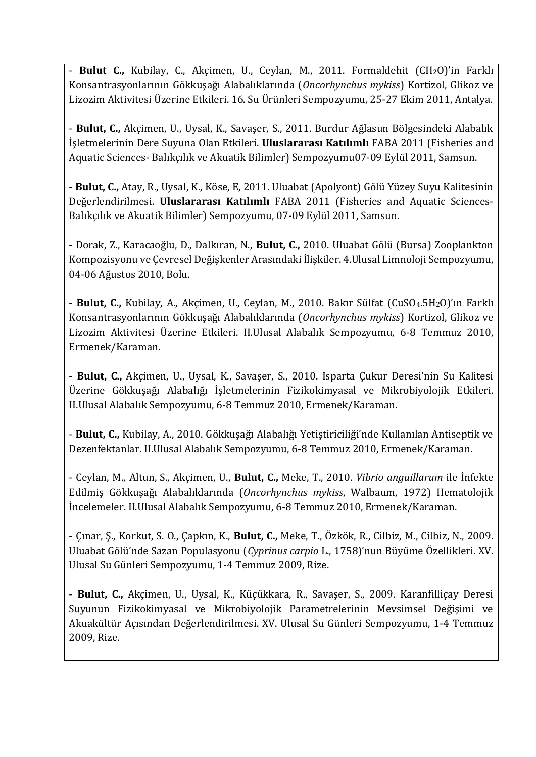- **Bulut C.,** Kubilay, C., Akçimen, U., Ceylan, M., 2011. Formaldehit (CH2O)'in Farklı Konsantrasyonlarının Gökkuşağı Alabalıklarında (*Oncorhynchus mykiss*) Kortizol, Glikoz ve Lizozim Aktivitesi Üzerine Etkileri. 16. Su Ürünleri Sempozyumu, 25-27 Ekim 2011, Antalya.

- **Bulut, C.,** Akçimen, U., Uysal, K., Savaşer, S., 2011. Burdur Ağlasun Bölgesindeki Alabalık İşletmelerinin Dere Suyuna Olan Etkileri. **Uluslararası Katılımlı** FABA 2011 (Fisheries and Aquatic Sciences- Balıkçılık ve Akuatik Bilimler) Sempozyumu07-09 Eylül 2011, Samsun.

- **Bulut, C.,** Atay, R., Uysal, K., Köse, E, 2011. Uluabat (Apolyont) Gölü Yüzey Suyu Kalitesinin Değerlendirilmesi. **Uluslararası Katılımlı** FABA 2011 (Fisheries and Aquatic Sciences-Balıkçılık ve Akuatik Bilimler) Sempozyumu, 07-09 Eylül 2011, Samsun.

- Dorak, Z., Karacaoğlu, D., Dalkıran, N., **Bulut, C.,** 2010. Uluabat Gölü (Bursa) Zooplankton Kompozisyonu ve Çevresel Değişkenler Arasındaki İlişkiler. 4.Ulusal Limnoloji Sempozyumu, 04-06 Ağustos 2010, Bolu.

- **Bulut, C.,** Kubilay, A., Akçimen, U., Ceylan, M., 2010. Bakır Sülfat (CuSO4.5H2O)'ın Farklı Konsantrasyonlarının Gökkuşağı Alabalıklarında (*Oncorhynchus mykiss*) Kortizol, Glikoz ve Lizozim Aktivitesi Üzerine Etkileri. II.Ulusal Alabalık Sempozyumu, 6-8 Temmuz 2010, Ermenek/Karaman.

- **Bulut, C.,** Akçimen, U., Uysal, K., Savaşer, S., 2010. Isparta Çukur Deresi'nin Su Kalitesi Üzerine Gökkuşağı Alabalığı İşletmelerinin Fizikokimyasal ve Mikrobiyolojik Etkileri. II.Ulusal Alabalık Sempozyumu, 6-8 Temmuz 2010, Ermenek/Karaman.

- **Bulut, C.,** Kubilay, A., 2010. Gökkuşağı Alabalığı Yetiştiriciliği'nde Kullanılan Antiseptik ve Dezenfektanlar. II.Ulusal Alabalık Sempozyumu, 6-8 Temmuz 2010, Ermenek/Karaman.

- Ceylan, M., Altun, S., Akçimen, U., **Bulut, C.,** Meke, T., 2010. *Vibrio anguillarum* ile İnfekte Edilmiş Gökkuşağı Alabalıklarında (*Oncorhynchus mykiss*, Walbaum, 1972) Hematolojik İncelemeler. II.Ulusal Alabalık Sempozyumu, 6-8 Temmuz 2010, Ermenek/Karaman.

- Çınar, Ş., Korkut, S. O., Çapkın, K., **Bulut, C.,** Meke, T., Özkök, R., Cilbiz, M., Cilbiz, N., 2009. Uluabat Gölü'nde Sazan Populasyonu (*Cyprinus carpio* L., 1758)'nun Büyüme Özellikleri. XV. Ulusal Su Günleri Sempozyumu, 1-4 Temmuz 2009, Rize.

- **Bulut, C.,** Akçimen, U., Uysal, K., Küçükkara, R., Savaşer, S., 2009. Karanfilliçay Deresi Suyunun Fizikokimyasal ve Mikrobiyolojik Parametrelerinin Mevsimsel Değişimi ve Akuakültür Açısından Değerlendirilmesi. XV. Ulusal Su Günleri Sempozyumu, 1-4 Temmuz 2009, Rize.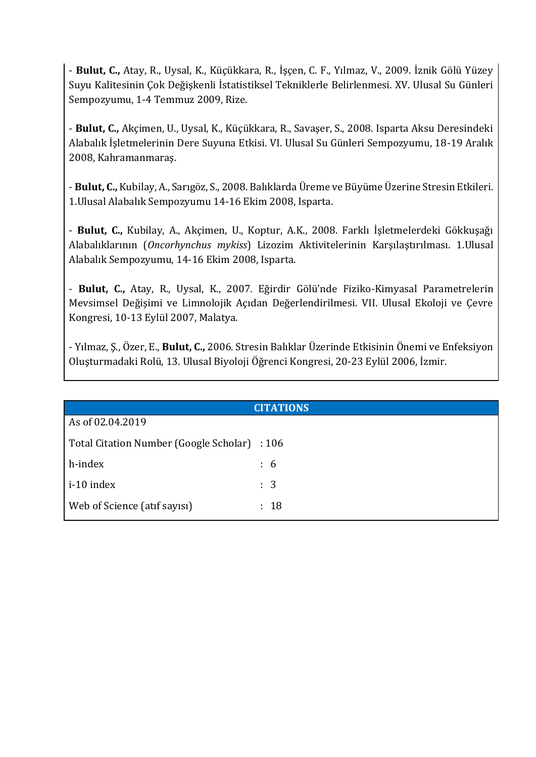- **Bulut, C.,** Atay, R., Uysal, K., Küçükkara, R., İşçen, C. F., Yılmaz, V., 2009. İznik Gölü Yüzey Suyu Kalitesinin Çok Değişkenli İstatistiksel Tekniklerle Belirlenmesi. XV. Ulusal Su Günleri Sempozyumu, 1-4 Temmuz 2009, Rize.

- **Bulut, C.,** Akçimen, U., Uysal, K., Küçükkara, R., Savaşer, S., 2008. Isparta Aksu Deresindeki Alabalık İşletmelerinin Dere Suyuna Etkisi. VI. Ulusal Su Günleri Sempozyumu, 18-19 Aralık 2008, Kahramanmaraş.

- **Bulut, C.,** Kubilay, A., Sarıgöz, S., 2008. Balıklarda Üreme ve Büyüme Üzerine Stresin Etkileri. 1.Ulusal Alabalık Sempozyumu 14-16 Ekim 2008, Isparta.

- **Bulut, C.,** Kubilay, A., Akçimen, U., Koptur, A.K., 2008. Farklı İşletmelerdeki Gökkuşağı Alabalıklarının (*Oncorhynchus mykiss*) Lizozim Aktivitelerinin Karşılaştırılması. 1.Ulusal Alabalık Sempozyumu, 14-16 Ekim 2008, Isparta.

- **Bulut, C.,** Atay, R., Uysal, K., 2007. Eğirdir Gölü'nde Fiziko-Kimyasal Parametrelerin Mevsimsel Değişimi ve Limnolojik Açıdan Değerlendirilmesi. VII. Ulusal Ekoloji ve Çevre Kongresi, 10-13 Eylül 2007, Malatya.

- Yılmaz, Ş., Özer, E., **Bulut, C.,** 2006. Stresin Balıklar Üzerinde Etkisinin Önemi ve Enfeksiyon Oluşturmadaki Rolü, 13. Ulusal Biyoloji Öğrenci Kongresi, 20-23 Eylül 2006, İzmir.

| <b>CITATIONS</b>                             |                |  |  |
|----------------------------------------------|----------------|--|--|
| As of 02.04.2019                             |                |  |  |
| Total Citation Number (Google Scholar) : 106 |                |  |  |
| h-index                                      | $\colon 6$     |  |  |
| i-10 index                                   | $\therefore$ 3 |  |  |
| Web of Science (atif sayisi)                 | : 18           |  |  |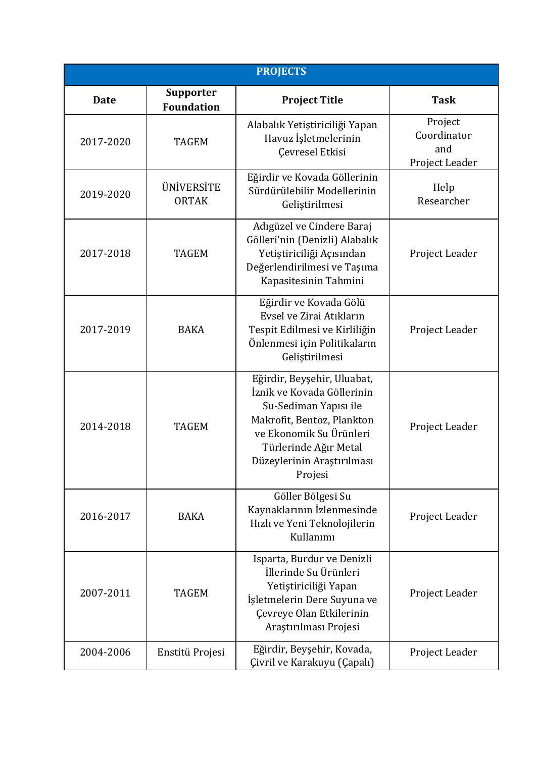| <b>PROJECTS</b> |                                |                                                                                                                                                                                                               |                                                 |  |
|-----------------|--------------------------------|---------------------------------------------------------------------------------------------------------------------------------------------------------------------------------------------------------------|-------------------------------------------------|--|
| <b>Date</b>     | Supporter<br><b>Foundation</b> | <b>Project Title</b>                                                                                                                                                                                          | <b>Task</b>                                     |  |
| 2017-2020       | <b>TAGEM</b>                   | Alabalık Yetiştiriciliği Yapan<br>Havuz İşletmelerinin<br>Çevresel Etkisi                                                                                                                                     | Project<br>Coordinator<br>and<br>Project Leader |  |
| 2019-2020       | ÜNİVERSİTE<br><b>ORTAK</b>     | Eğirdir ve Kovada Göllerinin<br>Sürdürülebilir Modellerinin<br>Geliştirilmesi                                                                                                                                 | Help<br>Researcher                              |  |
| 2017-2018       | <b>TAGEM</b>                   | Adıgüzel ve Cindere Baraj<br>Gölleri'nin (Denizli) Alabalık<br>Yetiştiriciliği Açısından<br>Değerlendirilmesi ve Taşıma<br>Kapasitesinin Tahmini                                                              | Project Leader                                  |  |
| 2017-2019       | <b>BAKA</b>                    | Eğirdir ve Kovada Gölü<br>Evsel ve Zirai Atıkların<br>Tespit Edilmesi ve Kirliliğin<br>Önlenmesi için Politikaların<br>Geliștirilmesi                                                                         | Project Leader                                  |  |
| 2014-2018       | <b>TAGEM</b>                   | Eğirdir, Beyşehir, Uluabat,<br>İznik ve Kovada Göllerinin<br>Su-Sediman Yapısı ile<br>Makrofit, Bentoz, Plankton<br>ve Ekonomik Su Ürünleri<br>Türlerinde Ağır Metal<br>Düzeylerinin Araştırılması<br>Projesi | Project Leader                                  |  |
| 2016-2017       | <b>BAKA</b>                    | Göller Bölgesi Su<br>Kaynaklarının İzlenmesinde<br>Hızlı ve Yeni Teknolojilerin<br>Kullanımı                                                                                                                  | Project Leader                                  |  |
| 2007-2011       | <b>TAGEM</b>                   | Isparta, Burdur ve Denizli<br>İllerinde Su Ürünleri<br>Yetiştiriciliği Yapan<br>İşletmelerin Dere Suyuna ve<br>Çevreye Olan Etkilerinin<br>Araştırılması Projesi                                              | Project Leader                                  |  |
| 2004-2006       | Enstitü Projesi                | Eğirdir, Beyşehir, Kovada,<br>Çivril ve Karakuyu (Çapalı)                                                                                                                                                     | Project Leader                                  |  |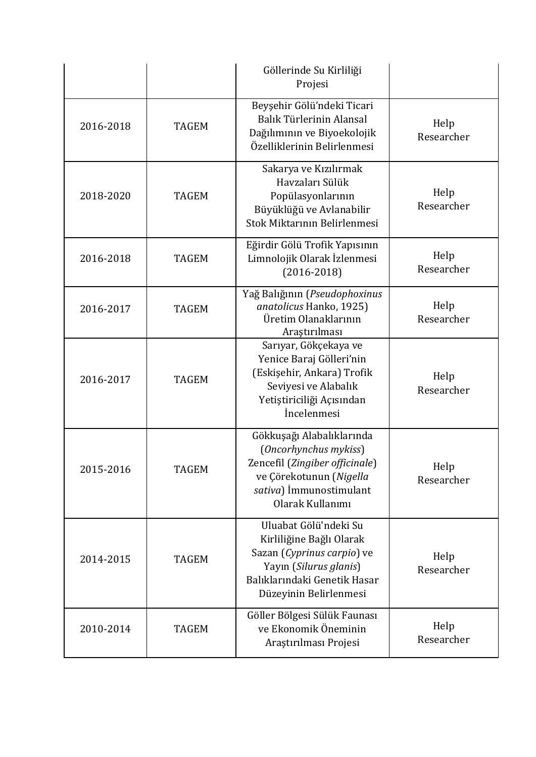|           |              | Göllerinde Su Kirliliği<br>Projesi                                                                                                                                  |                    |
|-----------|--------------|---------------------------------------------------------------------------------------------------------------------------------------------------------------------|--------------------|
| 2016-2018 | <b>TAGEM</b> | Beyşehir Gölü'ndeki Ticari<br>Balık Türlerinin Alansal<br>Dağılımının ve Biyoekolojik<br>Özelliklerinin Belirlenmesi                                                | Help<br>Researcher |
| 2018-2020 | <b>TAGEM</b> | Sakarya ve Kızılırmak<br>Havzaları Sülük<br>Popülasyonlarının<br>Büyüklüğü ve Avlanabilir<br>Stok Miktarının Belirlenmesi                                           | Help<br>Researcher |
| 2016-2018 | <b>TAGEM</b> | Eğirdir Gölü Trofik Yapısının<br>Limnolojik Olarak İzlenmesi<br>$(2016 - 2018)$                                                                                     | Help<br>Researcher |
| 2016-2017 | <b>TAGEM</b> | Yağ Balığının (Pseudophoxinus<br>anatolicus Hanko, 1925)<br>Üretim Olanaklarının<br>Araştırılması                                                                   | Help<br>Researcher |
| 2016-2017 | <b>TAGEM</b> | Sarıyar, Gökçekaya ve<br>Yenice Baraj Gölleri'nin<br>(Eskişehir, Ankara) Trofik<br>Seviyesi ve Alabalık<br>Yetiştiriciliği Açısından<br><i>incelenmesi</i>          | Help<br>Researcher |
| 2015-2016 | <b>TAGEM</b> | Gökkuşağı Alabalıklarında<br>(Oncorhynchus mykiss)<br>Zencefil (Zingiber officinale)<br>ve Çörekotunun (Nigella<br>sativa) İmmunostimulant<br>Olarak Kullanımı      | Help<br>Researcher |
| 2014-2015 | <b>TAGEM</b> | Uluabat Gölü'ndeki Su<br>Kirliliğine Bağlı Olarak<br>Sazan (Cyprinus carpio) ve<br>Yayın (Silurus glanis)<br>Balıklarındaki Genetik Hasar<br>Düzeyinin Belirlenmesi | Help<br>Researcher |
| 2010-2014 | <b>TAGEM</b> | Göller Bölgesi Sülük Faunası<br>ve Ekonomik Öneminin<br>Araştırılması Projesi                                                                                       | Help<br>Researcher |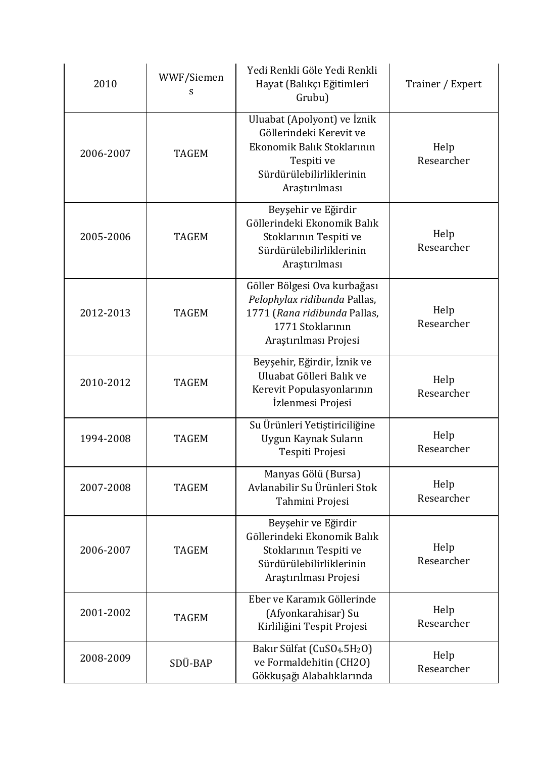| 2010      | WWF/Siemen<br>s | Yedi Renkli Göle Yedi Renkli<br>Hayat (Balıkçı Eğitimleri<br>Grubu)                                                                             | Trainer / Expert   |
|-----------|-----------------|-------------------------------------------------------------------------------------------------------------------------------------------------|--------------------|
| 2006-2007 | <b>TAGEM</b>    | Uluabat (Apolyont) ve İznik<br>Göllerindeki Kerevit ve<br>Ekonomik Balık Stoklarının<br>Tespiti ve<br>Sürdürülebilirliklerinin<br>Araştırılması | Help<br>Researcher |
| 2005-2006 | <b>TAGEM</b>    | Beyşehir ve Eğirdir<br>Göllerindeki Ekonomik Balık<br>Stoklarının Tespiti ve<br>Sürdürülebilirliklerinin<br>Araştırılması                       | Help<br>Researcher |
| 2012-2013 | <b>TAGEM</b>    | Göller Bölgesi Ova kurbağası<br>Pelophylax ridibunda Pallas,<br>1771 (Rana ridibunda Pallas,<br>1771 Stoklarının<br>Araștırılması Projesi       | Help<br>Researcher |
| 2010-2012 | <b>TAGEM</b>    | Beyşehir, Eğirdir, İznik ve<br>Uluabat Gölleri Balık ve<br>Kerevit Populasyonlarının<br>İzlenmesi Projesi                                       | Help<br>Researcher |
| 1994-2008 | <b>TAGEM</b>    | Su Ürünleri Yetiştiriciliğine<br>Uygun Kaynak Suların<br>Tespiti Projesi                                                                        | Help<br>Researcher |
| 2007-2008 | <b>TAGEM</b>    | Manyas Gölü (Bursa)<br>Avlanabilir Su Ürünleri Stok<br>Tahmini Projesi                                                                          | Help<br>Researcher |
| 2006-2007 | <b>TAGEM</b>    | Beyşehir ve Eğirdir<br>Göllerindeki Ekonomik Balık<br>Stoklarının Tespiti ve<br>Sürdürülebilirliklerinin<br>Araştırılması Projesi               | Help<br>Researcher |
| 2001-2002 | <b>TAGEM</b>    | Eber ve Karamık Göllerinde<br>(Afyonkarahisar) Su<br>Kirliliğini Tespit Projesi                                                                 | Help<br>Researcher |
| 2008-2009 | SDÜ-BAP         | Bakır Sülfat (CuSO <sub>4</sub> .5H <sub>2</sub> O)<br>ve Formaldehitin (CH2O)<br>Gökkuşağı Alabalıklarında                                     | Help<br>Researcher |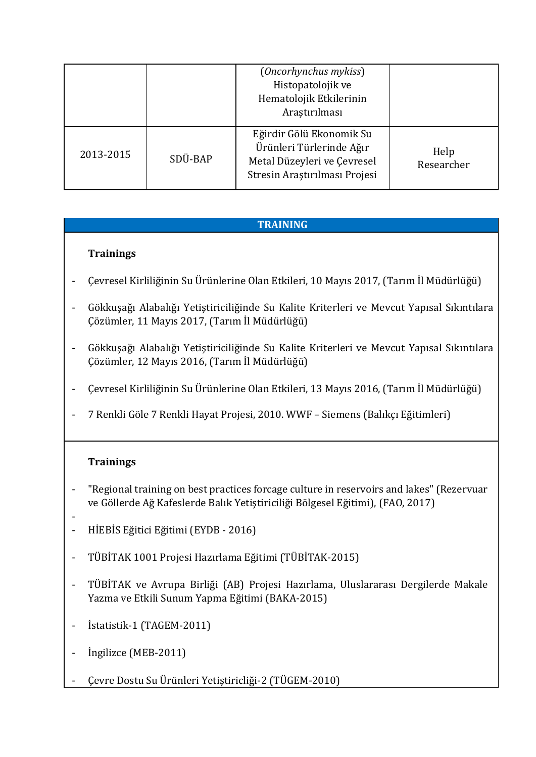|           |         | (Oncorhynchus mykiss)<br>Histopatolojik ve<br>Hematolojik Etkilerinin<br>Araştırılması                               |                    |
|-----------|---------|----------------------------------------------------------------------------------------------------------------------|--------------------|
| 2013-2015 | SDÜ-BAP | Eğirdir Gölü Ekonomik Su<br>Ürünleri Türlerinde Ağır<br>Metal Düzeyleri ve Çevresel<br>Stresin Araştırılması Projesi | Help<br>Researcher |

## **TRAINING**

### **Trainings**

- Çevresel Kirliliğinin Su Ürünlerine Olan Etkileri, 10 Mayıs 2017, (Tarım İl Müdürlüğü)
- Gökkuşağı Alabalığı Yetiştiriciliğinde Su Kalite Kriterleri ve Mevcut Yapısal Sıkıntılara Çözümler, 11 Mayıs 2017, (Tarım İl Müdürlüğü)
- Gökkuşağı Alabalığı Yetiştiriciliğinde Su Kalite Kriterleri ve Mevcut Yapısal Sıkıntılara Çözümler, 12 Mayıs 2016, (Tarım İl Müdürlüğü)
- Çevresel Kirliliğinin Su Ürünlerine Olan Etkileri, 13 Mayıs 2016, (Tarım İl Müdürlüğü)
- 7 Renkli Göle 7 Renkli Hayat Projesi, 2010. WWF Siemens (Balıkçı Eğitimleri)

### **Trainings**

- "Regional training on best practices forcage culture in reservoirs and lakes" (Rezervuar ve Göllerde Ağ Kafeslerde Balık Yetiştiriciliği Bölgesel Eğitimi), (FAO, 2017)
- - HİEBİS Eğitici Eğitimi (EYDB - 2016)
- TÜBİTAK 1001 Projesi Hazırlama Eğitimi (TÜBİTAK-2015)
- TÜBİTAK ve Avrupa Birliği (AB) Projesi Hazırlama, Uluslararası Dergilerde Makale Yazma ve Etkili Sunum Yapma Eğitimi (BAKA-2015)
- İstatistik-1 (TAGEM-2011)
- Ingilizce (MEB-2011)
- Çevre Dostu Su Ürünleri Yetiştiricliği-2 (TÜGEM-2010)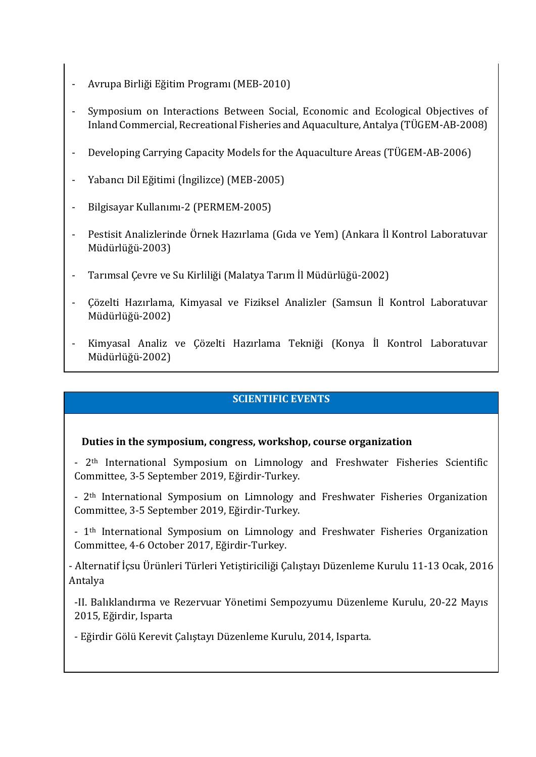- Avrupa Birliği Eğitim Programı (MEB-2010)
- Symposium on Interactions Between Social, Economic and Ecological Objectives of Inland Commercial, Recreational Fisheries and Aquaculture, Antalya (TÜGEM-AB-2008)
- Developing Carrying Capacity Models for the Aquaculture Areas (TÜGEM-AB-2006)
- Yabancı Dil Eğitimi (İngilizce) (MEB-2005)
- Bilgisayar Kullanımı-2 (PERMEM-2005)
- Pestisit Analizlerinde Örnek Hazırlama (Gıda ve Yem) (Ankara İl Kontrol Laboratuvar Müdürlüğü-2003)
- Tarımsal Çevre ve Su Kirliliği (Malatya Tarım İl Müdürlüğü-2002)
- Çözelti Hazırlama, Kimyasal ve Fiziksel Analizler (Samsun İl Kontrol Laboratuvar Müdürlüğü-2002)
- Kimyasal Analiz ve Çözelti Hazırlama Tekniği (Konya İl Kontrol Laboratuvar Müdürlüğü-2002)

### **SCIENTIFIC EVENTS**

#### **Duties in the symposium, congress, workshop, course organization**

- 2<sup>th</sup> International Symposium on Limnology and Freshwater Fisheries Scientific Committee, 3-5 September 2019, Eğirdir-Turkey.

- 2th International Symposium on Limnology and Freshwater Fisheries Organization Committee, 3-5 September 2019, Eğirdir-Turkey.

- 1th International Symposium on Limnology and Freshwater Fisheries Organization Committee, 4-6 October 2017, Eğirdir-Turkey.

- Alternatif İçsu Ürünleri Türleri Yetiştiriciliği Çalıştayı Düzenleme Kurulu 11-13 Ocak, 2016 Antalya

-II. Balıklandırma ve Rezervuar Yönetimi Sempozyumu Düzenleme Kurulu, 20-22 Mayıs 2015, Eğirdir, Isparta

- Eğirdir Gölü Kerevit Çalıştayı Düzenleme Kurulu, 2014, Isparta.